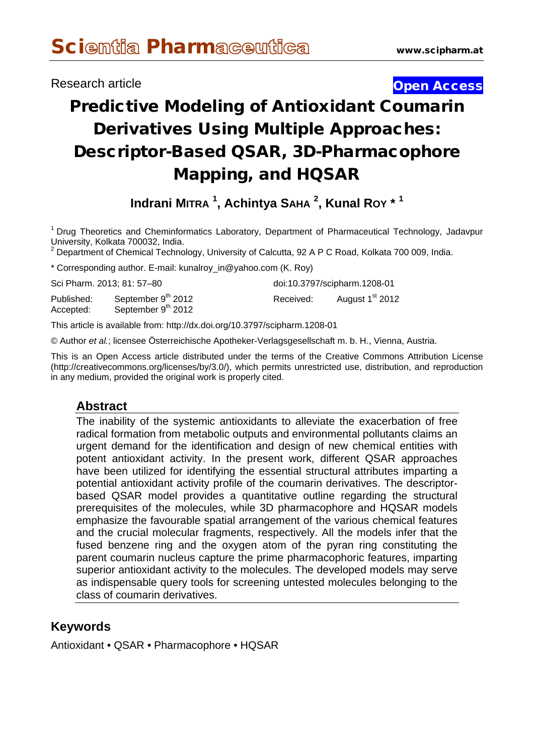## Research article **Contract Contract Contract Contract Contract Contract Contract Contract Contract Contract Contract Contract Contract Contract Contract Contract Contract Contract Contract Contract Contract Contract Contra**

# Predictive Modeling of Antioxidant Coumarin Derivatives Using Multiple Approaches: Descriptor-Based QSAR, 3D-Pharmacophore Mapping, and HQSAR

**Indrani MITRA <sup>1</sup> , Achintya SAHA <sup>2</sup> , Kunal ROY \* <sup>1</sup>**

<sup>1</sup> Drug Theoretics and Cheminformatics Laboratory, Department of Pharmaceutical Technology, Jadavpur<br>University, Kolkata 700032, India.

 $2$  Department of Chemical Technology, University of Calcutta, 92 A P C Road, Kolkata 700 009, India.

\* Corresponding author. E-mail: [kunalroy\\_in@yahoo.com](mailto:kunalroy_in@yahoo.com) (K. Roy)

| Sci Pharm. 2013; 81: 57–80 |                                                      |           | doi:10.3797/scipharm.1208-01 |
|----------------------------|------------------------------------------------------|-----------|------------------------------|
| Published:<br>Accepted:    | September 9 <sup>th</sup> 2012<br>September 9th 2012 | Received: | August 1 <sup>st</sup> 2012  |

This article is available from: http://dx.doi.org/10.3797/scipharm.1208-01

© Author *et al.*; licensee Österreichische Apotheker-Verlagsgesellschaft m. b. H., Vienna, Austria.

This is an Open Access article distributed under the terms of the Creative Commons Attribution License [\(http://creativecommons.org/licenses/by/3.0/\)](http://creativecommons.org/licenses/by/3.0/), which permits unrestricted use, distribution, and reproduction in any medium, provided the original work is properly cited.

#### **Abstract**

The inability of the systemic antioxidants to alleviate the exacerbation of free radical formation from metabolic outputs and environmental pollutants claims an urgent demand for the identification and design of new chemical entities with potent antioxidant activity. In the present work, different QSAR approaches have been utilized for identifying the essential structural attributes imparting a potential antioxidant activity profile of the coumarin derivatives. The descriptorbased QSAR model provides a quantitative outline regarding the structural prerequisites of the molecules, while 3D pharmacophore and HQSAR models emphasize the favourable spatial arrangement of the various chemical features and the crucial molecular fragments, respectively. All the models infer that the fused benzene ring and the oxygen atom of the pyran ring constituting the parent coumarin nucleus capture the prime pharmacophoric features, imparting superior antioxidant activity to the molecules. The developed models may serve as indispensable query tools for screening untested molecules belonging to the class of coumarin derivatives.

## **Keywords**

Antioxidant • QSAR • Pharmacophore • HQSAR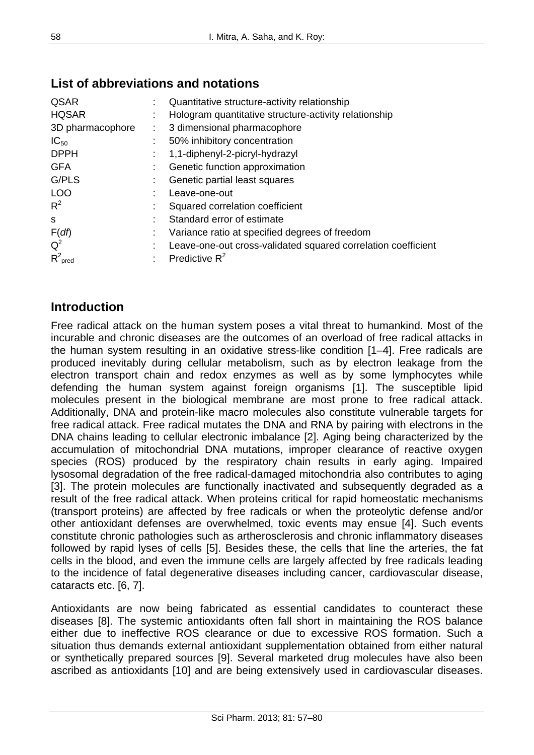| QSAR                |    | Quantitative structure-activity relationship                  |
|---------------------|----|---------------------------------------------------------------|
| <b>HQSAR</b>        |    | Hologram quantitative structure-activity relationship         |
| 3D pharmacophore    | ÷. | 3 dimensional pharmacophore                                   |
| $IC_{50}$           |    | 50% inhibitory concentration                                  |
| <b>DPPH</b>         |    | 1,1-diphenyl-2-picryl-hydrazyl                                |
| <b>GFA</b>          |    | Genetic function approximation                                |
| G/PLS               |    | Genetic partial least squares                                 |
| <b>LOO</b>          |    | Leave-one-out                                                 |
| $R^2$               |    | Squared correlation coefficient                               |
| S                   |    | Standard error of estimate                                    |
| F(df)               |    | Variance ratio at specified degrees of freedom                |
| $Q^2$               |    | Leave-one-out cross-validated squared correlation coefficient |
| $R^2_{\text{pred}}$ |    | Predictive $R^2$                                              |

# **List of abbreviations and notations**

## **Introduction**

Free radical attack on the human system poses a vital threat to humankind. Most of the incurable and chronic diseases are the outcomes of an overload of free radical attacks in the human system resulting in an oxidative stress-like condition [1–4]. Free radicals are produced inevitably during cellular metabolism, such as by electron leakage from the electron transport chain and redox enzymes as well as by some lymphocytes while defending the human system against foreign organisms [1]. The susceptible lipid molecules present in the biological membrane are most prone to free radical attack. Additionally, DNA and protein-like macro molecules also constitute vulnerable targets for free radical attack. Free radical mutates the DNA and RNA by pairing with electrons in the DNA chains leading to cellular electronic imbalance [2]. Aging being characterized by the accumulation of mitochondrial DNA mutations, improper clearance of reactive oxygen species (ROS) produced by the respiratory chain results in early aging. Impaired lysosomal degradation of the free radical-damaged mitochondria also contributes to aging [3]. The protein molecules are functionally inactivated and subsequently degraded as a result of the free radical attack. When proteins critical for rapid homeostatic mechanisms (transport proteins) are affected by free radicals or when the proteolytic defense and/or other antioxidant defenses are overwhelmed, toxic events may ensue [4]. Such events constitute chronic pathologies such as artherosclerosis and chronic inflammatory diseases followed by rapid lyses of cells [5]. Besides these, the cells that line the arteries, the fat cells in the blood, and even the immune cells are largely affected by free radicals leading to the incidence of fatal degenerative diseases including cancer, cardiovascular disease, cataracts etc. [6, 7].

Antioxidants are now being fabricated as essential candidates to counteract these diseases [8]. The systemic antioxidants often fall short in maintaining the ROS balance either due to ineffective ROS clearance or due to excessive ROS formation. Such a situation thus demands external antioxidant supplementation obtained from either natural or synthetically prepared sources [9]. Several marketed drug molecules have also been ascribed as antioxidants [10] and are being extensively used in cardiovascular diseases.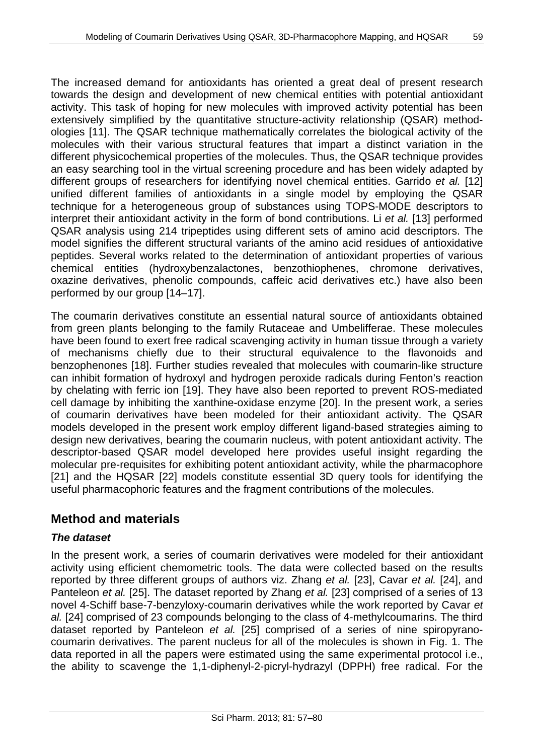The increased demand for antioxidants has oriented a great deal of present research towards the design and development of new chemical entities with potential antioxidant activity. This task of hoping for new molecules with improved activity potential has been extensively simplified by the quantitative structure-activity relationship (QSAR) methodologies [11]. The QSAR technique mathematically correlates the biological activity of the molecules with their various structural features that impart a distinct variation in the different physicochemical properties of the molecules. Thus, the QSAR technique provides an easy searching tool in the virtual screening procedure and has been widely adapted by different groups of researchers for identifying novel chemical entities. Garrido *et al.* [12] unified different families of antioxidants in a single model by employing the QSAR technique for a heterogeneous group of substances using TOPS-MODE descriptors to interpret their antioxidant activity in the form of bond contributions. Li *et al.* [13] performed QSAR analysis using 214 tripeptides using different sets of amino acid descriptors. The model signifies the different structural variants of the amino acid residues of antioxidative peptides. Several works related to the determination of antioxidant properties of various chemical entities (hydroxybenzalactones, benzothiophenes, chromone derivatives, oxazine derivatives, phenolic compounds, caffeic acid derivatives etc.) have also been performed by our group [14–17].

The coumarin derivatives constitute an essential natural source of antioxidants obtained from green plants belonging to the family Rutaceae and Umbelifferae. These molecules have been found to exert free radical scavenging activity in human tissue through a variety of mechanisms chiefly due to their structural equivalence to the flavonoids and benzophenones [18]. Further studies revealed that molecules with coumarin-like structure can inhibit formation of hydroxyl and hydrogen peroxide radicals during Fenton's reaction by chelating with ferric ion [19]. They have also been reported to prevent ROS-mediated cell damage by inhibiting the xanthine-oxidase enzyme [20]. In the present work, a series of coumarin derivatives have been modeled for their antioxidant activity. The QSAR models developed in the present work employ different ligand-based strategies aiming to design new derivatives, bearing the coumarin nucleus, with potent antioxidant activity. The descriptor-based QSAR model developed here provides useful insight regarding the molecular pre-requisites for exhibiting potent antioxidant activity, while the pharmacophore [21] and the HQSAR [22] models constitute essential 3D query tools for identifying the useful pharmacophoric features and the fragment contributions of the molecules.

# **Method and materials**

## *The dataset*

In the present work, a series of coumarin derivatives were modeled for their antioxidant activity using efficient chemometric tools. The data were collected based on the results reported by three different groups of authors viz. Zhang *et al.* [23], Cavar *et al.* [24], and Panteleon *et al.* [25]. The dataset reported by Zhang *et al.* [23] comprised of a series of 13 novel 4-Schiff base-7-benzyloxy-coumarin derivatives while the work reported by Cavar *et al.* [24] comprised of 23 compounds belonging to the class of 4-methylcoumarins. The third dataset reported by Panteleon *et al.* [25] comprised of a series of nine spiropyranocoumarin derivatives. The parent nucleus for all of the molecules is shown in Fig. 1. The data reported in all the papers were estimated using the same experimental protocol i.e., the ability to scavenge the 1,1-diphenyl-2-picryl-hydrazyl (DPPH) free radical. For the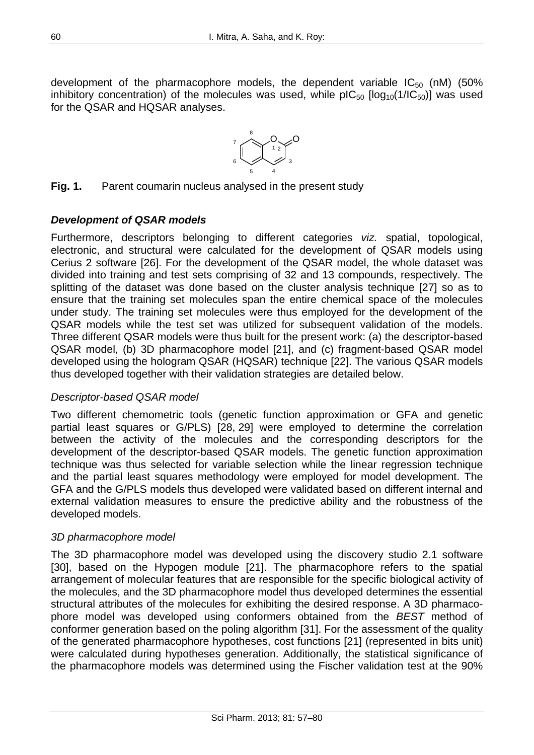development of the pharmacophore models, the dependent variable  $IC_{50}$  (nM) (50% inhibitory concentration) of the molecules was used, while  $pIC_{50}$  [log<sub>10</sub>(1/IC<sub>50</sub>)] was used for the QSAR and HQSAR analyses.



**Fig. 1.** Parent coumarin nucleus analysed in the present study

#### *Development of QSAR models*

Furthermore, descriptors belonging to different categories *viz.* spatial, topological, electronic, and structural were calculated for the development of QSAR models using Cerius 2 software [26]. For the development of the QSAR model, the whole dataset was divided into training and test sets comprising of 32 and 13 compounds, respectively. The splitting of the dataset was done based on the cluster analysis technique [27] so as to ensure that the training set molecules span the entire chemical space of the molecules under study. The training set molecules were thus employed for the development of the QSAR models while the test set was utilized for subsequent validation of the models. Three different QSAR models were thus built for the present work: (a) the descriptor-based QSAR model, (b) 3D pharmacophore model [21], and (c) fragment-based QSAR model developed using the hologram QSAR (HQSAR) technique [22]. The various QSAR models thus developed together with their validation strategies are detailed below.

#### *Descriptor-based QSAR model*

Two different chemometric tools (genetic function approximation or GFA and genetic partial least squares or G/PLS) [28, 29] were employed to determine the correlation between the activity of the molecules and the corresponding descriptors for the development of the descriptor-based QSAR models. The genetic function approximation technique was thus selected for variable selection while the linear regression technique and the partial least squares methodology were employed for model development. The GFA and the G/PLS models thus developed were validated based on different internal and external validation measures to ensure the predictive ability and the robustness of the developed models.

#### *3D pharmacophore model*

The 3D pharmacophore model was developed using the discovery studio 2.1 software [30], based on the Hypogen module [21]. The pharmacophore refers to the spatial arrangement of molecular features that are responsible for the specific biological activity of the molecules, and the 3D pharmacophore model thus developed determines the essential structural attributes of the molecules for exhibiting the desired response. A 3D pharmacophore model was developed using conformers obtained from the *BEST* method of conformer generation based on the poling algorithm [31]. For the assessment of the quality of the generated pharmacophore hypotheses, cost functions [21] (represented in bits unit) were calculated during hypotheses generation. Additionally, the statistical significance of the pharmacophore models was determined using the Fischer validation test at the 90%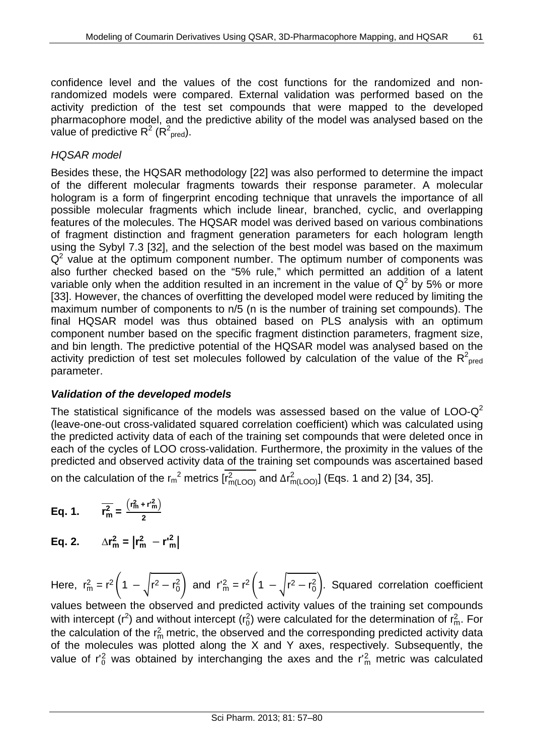confidence level and the values of the cost functions for the randomized and nonrandomized models were compared. External validation was performed based on the activity prediction of the test set compounds that were mapped to the developed pharmacophore model, and the predictive ability of the model was analysed based on the value of predictive  $R^2$  ( $R^2_{\text{pred}}$ ).

#### *HQSAR model*

Besides these, the HQSAR methodology [22] was also performed to determine the impact of the different molecular fragments towards their response parameter. A molecular hologram is a form of fingerprint encoding technique that unravels the importance of all possible molecular fragments which include linear, branched, cyclic, and overlapping features of the molecules. The HQSAR model was derived based on various combinations of fragment distinction and fragment generation parameters for each hologram length using the Sybyl 7.3 [32], and the selection of the best model was based on the maximum  $Q<sup>2</sup>$  value at the optimum component number. The optimum number of components was also further checked based on the "5% rule," which permitted an addition of a latent variable only when the addition resulted in an increment in the value of  $Q^2$  by 5% or more [33]. However, the chances of overfitting the developed model were reduced by limiting the maximum number of components to n/5 (n is the number of training set compounds). The final HQSAR model was thus obtained based on PLS analysis with an optimum component number based on the specific fragment distinction parameters, fragment size, and bin length. The predictive potential of the HQSAR model was analysed based on the activity prediction of test set molecules followed by calculation of the value of the  $R^2_{\text{ pred}}$ parameter.

#### *Validation of the developed models*

The statistical significance of the models was assessed based on the value of  $LOO-Q^2$ (leave-one-out cross-validated squared correlation coefficient) which was calculated using the predicted activity data of each of the training set compounds that were deleted once in each of the cycles of LOO cross-validation. Furthermore, the proximity in the values of the predicted and observed activity data of the training set compounds was ascertained based on the calculation of the r<sub>m</sub><sup>2</sup> metrics [r $_{m(\rm{LOO})}^2$  and  $\Delta r_{m(\rm{LOO})}^2$ ] (Eqs. 1 and 2) [34, 35].

Eq. 1. 
$$
\overline{r_m^2} = \frac{(r_m^2 + r_m^2)}{2}
$$

**Eq. 2.**  $\Delta r_m^2 = |r_m^2 - r_m^2|$ 

Here,  $r_m^2 = r^2 (1 - \sqrt{r^2 - r_0^2})$  and  $r_m^2 = r^2 (1 - \sqrt{r^2 - r_0^2})$ . Squared correlation coefficient values between the observed and predicted activity values of the training set compounds with intercept (r<sup>2</sup>) and without intercept (r<sub>0</sub><sup>2</sup>) were calculated for the determination of r<sub>m</sub>. For the calculation of the  $r_m^2$  metric, the observed and the corresponding predicted activity data of the molecules was plotted along the X and Y axes, respectively. Subsequently, the value of  $r_0^2$  was obtained by interchanging the axes and the  $r_m^2$  metric was calculated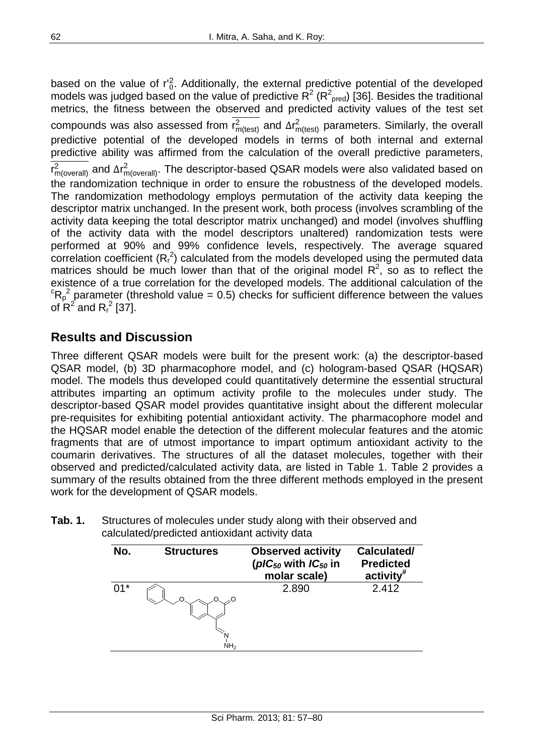based on the value of  $r_0^2$ . Additionally, the external predictive potential of the developed models was judged based on the value of predictive R<sup>2</sup> (R<sup>2</sup><sub>pred</sub>) [36]. Besides the traditional metrics, the fitness between the observed and predicted activity values of the test set compounds was also assessed from r $_{m(\text{test})}^2$  and  $\Delta r_{m(\text{test})}^2$  parameters. Similarly, the overall predictive potential of the developed models in terms of both internal and external predictive ability was affirmed from the calculation of the overall predictive parameters, r $^2_{\textsf{m}(\textsf{overall})}$  and ∆r $^2_{\textsf{m}(\textsf{overall})}$ . The descriptor-based QSAR models were also validated based on the randomization technique in order to ensure the robustness of the developed models. The randomization methodology employs permutation of the activity data keeping the descriptor matrix unchanged. In the present work, both process (involves scrambling of the activity data keeping the total descriptor matrix unchanged) and model (involves shuffling of the activity data with the model descriptors unaltered) randomization tests were performed at 90% and 99% confidence levels, respectively. The average squared correlation coefficient  $(R_r^2)$  calculated from the models developed using the permuted data matrices should be much lower than that of the original model  $R^2$ , so as to reflect the existence of a true correlation for the developed models. The additional calculation of the  $R_p^2$  parameter (threshold value = 0.5) checks for sufficient difference between the values of  $R^2$  and  $R_r^2$  [37].

## **Results and Discussion**

Three different QSAR models were built for the present work: (a) the descriptor-based QSAR model, (b) 3D pharmacophore model, and (c) hologram-based QSAR (HQSAR) model. The models thus developed could quantitatively determine the essential structural attributes imparting an optimum activity profile to the molecules under study. The descriptor-based QSAR model provides quantitative insight about the different molecular pre-requisites for exhibiting potential antioxidant activity. The pharmacophore model and the HQSAR model enable the detection of the different molecular features and the atomic fragments that are of utmost importance to impart optimum antioxidant activity to the coumarin derivatives. The structures of all the dataset molecules, together with their observed and predicted/calculated activity data, are listed in Table 1. Table 2 provides a summary of the results obtained from the three different methods employed in the present work for the development of QSAR models.

| Tab. 1. | Structures of molecules under study along with their observed and |
|---------|-------------------------------------------------------------------|
|         | calculated/predicted antioxidant activity data                    |

| No.   | <b>Structures</b> | <b>Observed activity</b><br>( $pIC_{50}$ with $IC_{50}$ in<br>molar scale) | Calculated/<br><b>Predicted</b><br>$\arctivity$ |
|-------|-------------------|----------------------------------------------------------------------------|-------------------------------------------------|
| $01*$ | NH <sub>2</sub>   | 2.890                                                                      | 2.412                                           |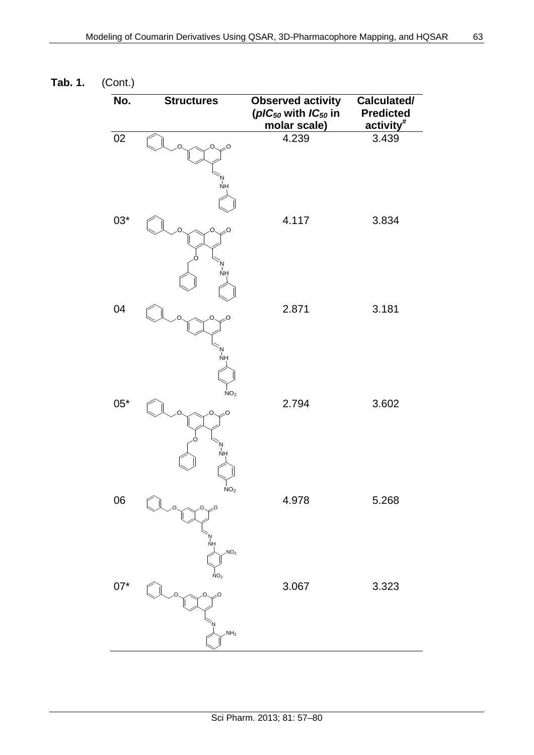| No.          | <b>Structures</b>                           | <b>Observed activity</b><br>( $pIC_{50}$ with $IC_{50}$ in<br>molar scale) | Calculated/<br><b>Predicted</b><br>activity <sup>#</sup> |
|--------------|---------------------------------------------|----------------------------------------------------------------------------|----------------------------------------------------------|
| 02           | O<br>O<br>'N<br>NH                          | 4.239                                                                      | 3.439                                                    |
| $03*$        | O<br>Ο<br>'N<br>NH                          | 4.117                                                                      | 3.834                                                    |
| 04           | O<br>О<br>'N<br>Nh                          | 2.871                                                                      | 3.181                                                    |
| $05^{\ast}$  | NO <sub>2</sub><br>O<br>∩<br>`N<br>NH<br>NO | 2.794                                                                      | 3.602                                                    |
| 06           | O<br>אן<br>NH<br>NO <sub>2</sub>            | 4.978                                                                      | 5.268                                                    |
| $07^{\star}$ | NO <sub>2</sub><br>O<br>NH <sub>2</sub>     | 3.067                                                                      | 3.323                                                    |

**Tab. 1.** (Cont.)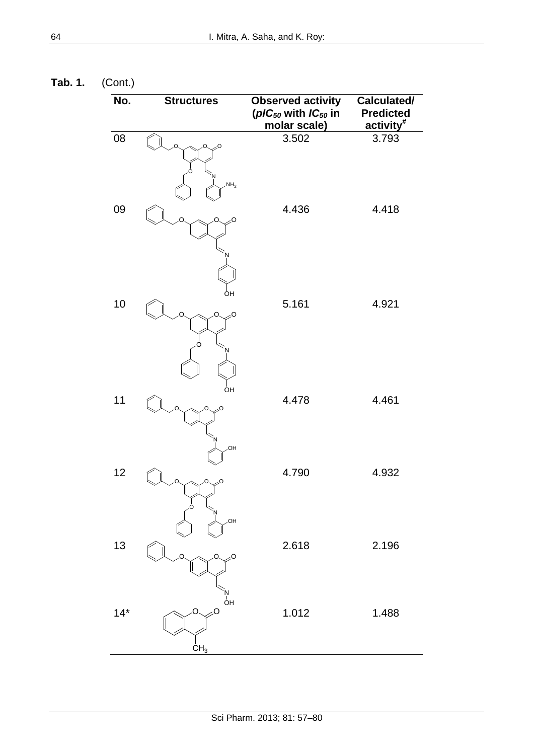**Tab. 1.** (Cont.)

| No.   | <b>Structures</b>                | <b>Observed activity</b><br>( $pIC_{50}$ with $IC_{50}$ in<br>molar scale) | Calculated/<br><b>Predicted</b><br>activity <sup>#</sup> |
|-------|----------------------------------|----------------------------------------------------------------------------|----------------------------------------------------------|
| 08    | $\sim$<br>.O.<br>NH <sub>2</sub> | 3.502                                                                      | 3.793                                                    |
| 09    | O                                | 4.436                                                                      | 4.418                                                    |
| 10    | ÒН<br>O<br>Ω                     | 5.161                                                                      | 4.921                                                    |
| 11    | ÒН<br>n<br>.OH                   | 4.478                                                                      | 4.461                                                    |
| 12    | .OH                              | 4.790                                                                      | 4.932                                                    |
| 13    | O                                | 2.618                                                                      | 2.196                                                    |
| $14*$ | .ï<br>ОН<br>O<br>CH <sub>3</sub> | 1.012                                                                      | 1.488                                                    |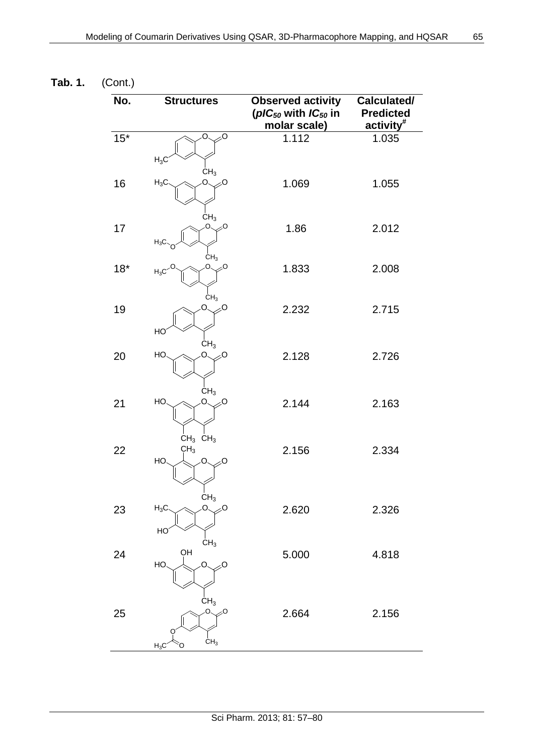| No.   | <b>Structures</b>                                                                        | <b>Observed activity</b><br>( $pIC_{50}$ with $IC_{50}$ in<br>molar scale) | Calculated/<br><b>Predicted</b><br>activity <sup>#</sup> |
|-------|------------------------------------------------------------------------------------------|----------------------------------------------------------------------------|----------------------------------------------------------|
| $15*$ | O<br>0∕∕<br>$H_3C$                                                                       | 1.112                                                                      | 1.035                                                    |
| 16    | CH <sub>3</sub><br>$H_3C$<br>റ<br>0؍                                                     | 1.069                                                                      | 1.055                                                    |
| 17    | CH <sub>3</sub><br>О.<br>╱<br>$H_3C$                                                     | 1.86                                                                       | 2.012                                                    |
| $18*$ | CH <sub>3</sub><br>О.<br>0∕<br>$H_3C$                                                    | 1.833                                                                      | 2.008                                                    |
| 19    | CH <sub>3</sub><br>O.<br>0∕∕<br>HO                                                       | 2.232                                                                      | 2.715                                                    |
| 20    | CH <sub>3</sub><br>O.<br>HO<br>્Ο                                                        | 2.128                                                                      | 2.726                                                    |
| 21    | CH <sub>3</sub><br>HO.<br>O.<br>0 ∕∕                                                     | 2.144                                                                      | 2.163                                                    |
| 22    | $CH_3$ CH <sub>3</sub><br>CH <sub>3</sub><br>Ō.<br>HO<br>0؍                              | 2.156                                                                      | 2.334                                                    |
| 23    | $C_{H_3}$<br>Ō<br>$H_3C$<br>۰O<br>HO                                                     | 2.620                                                                      | 2.326                                                    |
| 24    | CH <sub>3</sub><br>QН<br>HO<br>Ō.<br>0 ∕∕                                                | 5.000                                                                      | 4.818                                                    |
| 25    | CH <sub>3</sub><br>$\overline{O}$<br>$\oslash$ <sup>O</sup><br>CH <sub>3</sub><br>$H_3C$ | 2.664                                                                      | 2.156                                                    |

**Tab. 1.** (Cont.)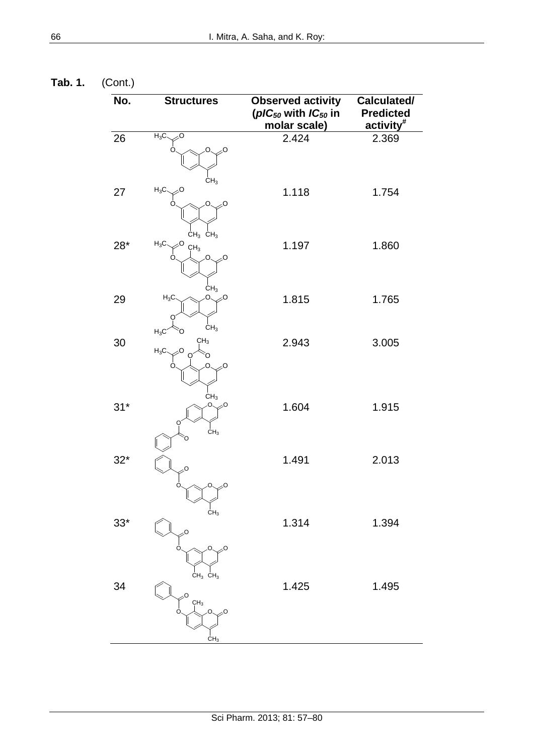**Tab. 1.** (Cont.)

| No.         | <b>Structures</b>                                                         | <b>Observed activity</b><br>( $pIC_{50}$ with $IC_{50}$ in<br>molar scale) | Calculated/<br><b>Predicted</b><br>activity <sup>#</sup> |
|-------------|---------------------------------------------------------------------------|----------------------------------------------------------------------------|----------------------------------------------------------|
| 26          | $H_3C$<br>O<br>CH <sub>3</sub>                                            | 2.424                                                                      | 2.369                                                    |
| 27          | $H_3C$<br>O                                                               | 1.118                                                                      | 1.754                                                    |
| $28^{\ast}$ | $CH_3$ $CH_3$<br>$H_3C$<br>CH <sub>3</sub><br>O                           | 1.197                                                                      | 1.860                                                    |
| 29          | CH <sub>3</sub><br>$H_3C$<br>О.<br>0 ِ∕<br>CH <sub>3</sub>                | 1.815                                                                      | 1.765                                                    |
| 30          | $H_3C$<br>CH <sub>3</sub><br>$H_3C$<br>O<br>O                             | 2.943                                                                      | 3.005                                                    |
| $31*$       | CH <sub>3</sub><br>О.<br>0؍<br>$\text{CH}_3$                              | 1.604                                                                      | 1.915                                                    |
| $32*$       | O<br>O<br>О.,<br>╱                                                        | 1.491                                                                      | 2.013                                                    |
| $33*$       | CH <sub>3</sub><br>0⊱<br>O<br>0.<br>O                                     | 1.314                                                                      | 1.394                                                    |
| 34          | $CH_3$ $CH_3$<br>O<br>CH <sub>3</sub><br>O.<br>C<br>0؍<br>CH <sub>3</sub> | 1.425                                                                      | 1.495                                                    |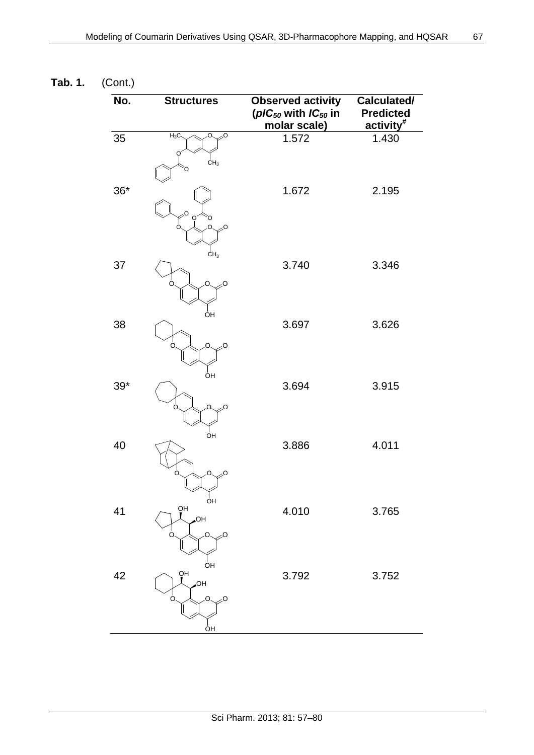| No.         | <b>Structures</b>                           | <b>Observed activity</b><br>( $pIC_{50}$ with $IC_{50}$ in<br>molar scale) | Calculated/<br><b>Predicted</b><br>activity <sup>#</sup> |
|-------------|---------------------------------------------|----------------------------------------------------------------------------|----------------------------------------------------------|
| 35          | $H_3C$<br>्र0<br>О.<br>CH <sub>3</sub>      | 1.572                                                                      | 1.430                                                    |
| $36^{\ast}$ | O<br>O<br>O<br>Ο.<br>0 ∕∕<br>Ω              | 1.672                                                                      | 2.195                                                    |
| 37          | CH <sub>3</sub><br>O<br>0∕∕                 | 3.740                                                                      | 3.346                                                    |
| 38          | ÒН<br>0⊱<br>O<br>C                          | 3.697                                                                      | 3.626                                                    |
| $39*$       | ÒН<br>O<br>0 ِ∕<br>O<br>ÓН                  | 3.694                                                                      | 3.915                                                    |
| 40          | ્ર૦<br>n<br>0                               | 3.886                                                                      | 4.011                                                    |
| 41          | ÒН<br>ŌН<br>HO.<br>O<br>O<br>O              | 4.010                                                                      | 3.765                                                    |
| 42          | OH<br>OH<br>HO.<br>O<br>O<br>O<br><u>ÒН</u> | 3.792                                                                      | 3.752                                                    |

**Tab. 1.** (Cont.)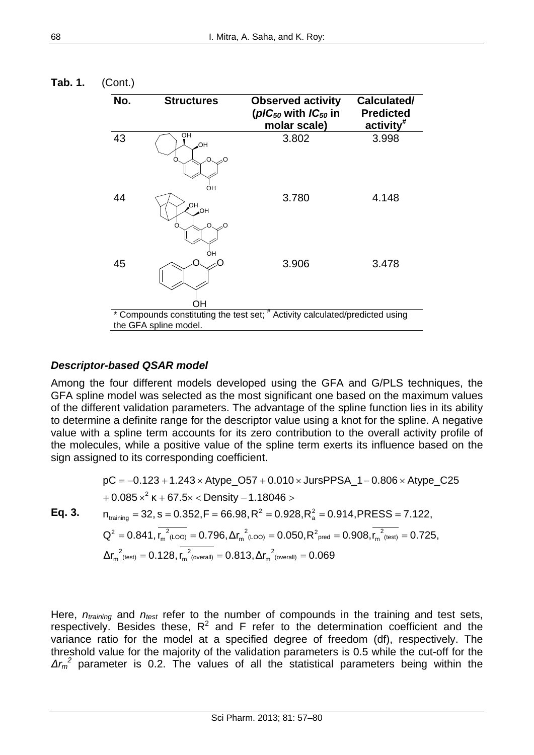| No. | <b>Structures</b>     | <b>Observed activity</b><br>( $pIC_{50}$ with $IC_{50}$ in<br>molar scale) | Calculated/<br><b>Predicted</b><br>$\arctivity^*$ |
|-----|-----------------------|----------------------------------------------------------------------------|---------------------------------------------------|
| 43  | OH<br>HO.<br>0؍<br>∩  | 3.802                                                                      | 3.998                                             |
| 44  | OΗ<br>HO,<br>HO,      | 3.780                                                                      | 4.148                                             |
| 45  | OH<br>OН              | 3.906                                                                      | 3.478                                             |
|     | the GFA spline model. | Compounds constituting the test set; # Activity calculated/predicted using |                                                   |

**Tab. 1.** (Cont.)

#### *Descriptor-based QSAR model*

Among the four different models developed using the GFA and G/PLS techniques, the GFA spline model was selected as the most significant one based on the maximum values of the different validation parameters. The advantage of the spline function lies in its ability to determine a definite range for the descriptor value using a knot for the spline. A negative value with a spline term accounts for its zero contribution to the overall activity profile of the molecules, while a positive value of the spline term exerts its influence based on the sign assigned to its corresponding coefficient.

$$
pC = -0.123 + 1.243 \times \text{Atype}\_O57 + 0.010 \times \text{JursPPSA}\_1 - 0.806 \times \text{Atype}\_C25
$$
  
+ 0.085 x<sup>2</sup> K + 67.5x **Density** – 1.18046 >  

$$
n_{training} = 32, s = 0.352, F = 66.98, R^2 = 0.928, R_a^2 = 0.914, PRESS = 7.122,
$$

$$
Q^2 = 0.841, r_m^2 \text{ (LOO)} = 0.796, \Delta r_m^2 \text{ (LOO)} = 0.050, R^2 \text{ pred} = 0.908, r_m^2 \text{ (test)} = 0.725,
$$

$$
\Delta r_m^2 \text{ (test)} = 0.128, r_m^2 \text{ (overall)} = 0.813, \Delta r_m^2 \text{ (overall)} = 0.069
$$

Here, *ntraining* and *ntest* refer to the number of compounds in the training and test sets, respectively. Besides these,  $R^2$  and F refer to the determination coefficient and the variance ratio for the model at a specified degree of freedom (df), respectively. The threshold value for the majority of the validation parameters is 0.5 while the cut-off for the *Δr<sup>m</sup> <sup>2</sup>* parameter is 0.2. The values of all the statistical parameters being within the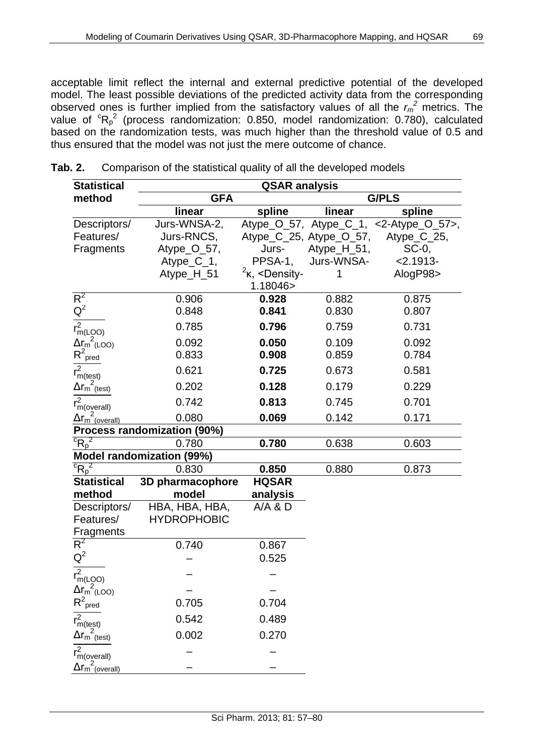acceptable limit reflect the internal and external predictive potential of the developed model. The least possible deviations of the predicted activity data from the corresponding observed ones is further implied from the satisfactory values of all the  $r_m^2$  metrics. The value of  ${}^{c}R_{p}^{2}$  (process randomization: 0.850, model randomization: 0.780), calculated based on the randomization tests, was much higher than the threshold value of 0.5 and thus ensured that the model was not just the mere outcome of chance.

| <b>Statistical</b>                                     | <b>QSAR analysis</b>             |                                                                     |                         |                                                 |
|--------------------------------------------------------|----------------------------------|---------------------------------------------------------------------|-------------------------|-------------------------------------------------|
| method                                                 | <b>G/PLS</b><br><b>GFA</b>       |                                                                     |                         |                                                 |
|                                                        | linear                           | spline                                                              | linear                  | spline                                          |
| Descriptors/                                           | Jurs-WNSA-2,                     |                                                                     |                         | Atype $O_57$ , Atype $C_1$ , <2-Atype $O_57$ >, |
| Features/                                              | Jurs-RNCS,                       |                                                                     | Atype_C_25, Atype_O_57, | Atype_C_25,                                     |
| Fragments                                              | Atype_O_57,                      | Jurs-                                                               | Atype_H_51,             | $SC-0$ ,                                        |
|                                                        | $Atype_C_1$ ,                    | PPSA-1,                                                             | Jurs-WNSA-              | $2.1913-$                                       |
|                                                        | Atype_H_51                       | $k2$ K, <density-< td=""><td>1</td><td>AlogP98&gt;</td></density-<> | 1                       | AlogP98>                                        |
|                                                        |                                  | 1.18046>                                                            |                         |                                                 |
| $R^2$                                                  | 0.906                            | 0.928                                                               | 0.882                   | 0.875                                           |
| $Q^2$                                                  | 0.848                            | 0.841                                                               | 0.830                   | 0.807                                           |
| $\overline{r_{m(LQO)}^2}$                              | 0.785                            | 0.796                                                               | 0.759                   | 0.731                                           |
|                                                        | 0.092                            | 0.050                                                               | 0.109                   | 0.092                                           |
| $\frac{\Delta r_m^2}{R^2_{\text{pred}}}$               | 0.833                            | 0.908                                                               | 0.859                   | 0.784                                           |
| $r_{m(test)}^2$                                        | 0.621                            | 0.725                                                               | 0.673                   | 0.581                                           |
| $\Delta r_{\text{m}}^{\text{2}}$ (test)                | 0.202                            | 0.128                                                               | 0.179                   | 0.229                                           |
| $\overline{r_{m(\text{overall})}^2}$                   | 0.742                            | 0.813                                                               | 0.745                   | 0.701                                           |
| $\Delta r_{\textsf{m}}$ (overall)                      | 0.080                            | 0.069                                                               | 0.142                   | 0.171                                           |
|                                                        | Process randomization (90%)      |                                                                     |                         |                                                 |
| ${}^{c}R_{p}^{2}$                                      | 0.780                            | 0.780                                                               | 0.638                   | 0.603                                           |
|                                                        | <b>Model randomization (99%)</b> |                                                                     |                         |                                                 |
| ${}^{c}R_{p}^{2}$                                      | 0.830                            | 0.850                                                               | 0.880                   | 0.873                                           |
| <b>Statistical</b>                                     | 3D pharmacophore                 | <b>HQSAR</b>                                                        |                         |                                                 |
| method                                                 | model                            | analysis                                                            |                         |                                                 |
| Descriptors/                                           | HBA, HBA, HBA,                   | A/A & D                                                             |                         |                                                 |
| Features/                                              | <b>HYDROPHOBIC</b>               |                                                                     |                         |                                                 |
| Fragments                                              |                                  |                                                                     |                         |                                                 |
| $R^2$                                                  | 0.740                            | 0.867                                                               |                         |                                                 |
| $Q^2$                                                  |                                  | 0.525                                                               |                         |                                                 |
| $r_{m(LQO)}^2$                                         |                                  |                                                                     |                         |                                                 |
| $\Delta r_m^2$ (LOO)                                   |                                  |                                                                     |                         |                                                 |
| $R^2$ <sub>pred</sub>                                  | 0.705                            | 0.704                                                               |                         |                                                 |
| $r_{m(test)}^2$                                        | 0.542                            | 0.489                                                               |                         |                                                 |
| $\Delta r_{\textsf{m}}^{\textsf{2}}$ <sub>(test)</sub> | 0.002                            | 0.270                                                               |                         |                                                 |
| $r_{m(overall)}^2$                                     |                                  |                                                                     |                         |                                                 |
| $\Delta r_m^2$ <sub>(overall)</sub>                    |                                  |                                                                     |                         |                                                 |

| Tab. 2. | Comparison of the statistical quality of all the developed models |
|---------|-------------------------------------------------------------------|
|         |                                                                   |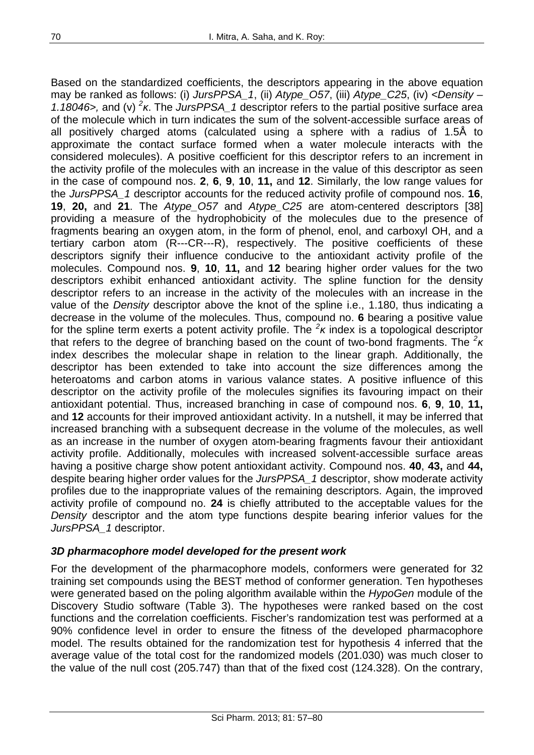Based on the standardized coefficients, the descriptors appearing in the above equation may be ranked as follows: (i) *JursPPSA\_1*, (ii) *Atype\_O57*, (iii) *Atype\_C25*, (iv) *<Density – 1.18046>,* and (v) *<sup>2</sup> κ*. The *JursPPSA\_1* descriptor refers to the partial positive surface area of the molecule which in turn indicates the sum of the solvent-accessible surface areas of all positively charged atoms (calculated using a sphere with a radius of 1.5Å to approximate the contact surface formed when a water molecule interacts with the considered molecules). A positive coefficient for this descriptor refers to an increment in the activity profile of the molecules with an increase in the value of this descriptor as seen in the case of compound nos. **2**, **6**, **9**, **10**, **11,** and **12**. Similarly, the low range values for the *JursPPSA\_1* descriptor accounts for the reduced activity profile of compound nos. **16**, **19**, **20,** and **21**. The *Atype\_O57* and *Atype\_C25* are atom-centered descriptors [38] providing a measure of the hydrophobicity of the molecules due to the presence of fragments bearing an oxygen atom, in the form of phenol, enol, and carboxyl OH, and a tertiary carbon atom (R---CR---R), respectively. The positive coefficients of these descriptors signify their influence conducive to the antioxidant activity profile of the molecules. Compound nos. **9**, **10**, **11,** and **12** bearing higher order values for the two descriptors exhibit enhanced antioxidant activity. The spline function for the density descriptor refers to an increase in the activity of the molecules with an increase in the value of the *Density* descriptor above the knot of the spline i.e., 1.180, thus indicating a decrease in the volume of the molecules. Thus, compound no. **6** bearing a positive value for the spline term exerts a potent activity profile. The *<sup>2</sup> κ* index is a topological descriptor that refers to the degree of branching based on the count of two-bond fragments. The *<sup>2</sup> κ*  index describes the molecular shape in relation to the linear graph. Additionally, the descriptor has been extended to take into account the size differences among the heteroatoms and carbon atoms in various valance states. A positive influence of this descriptor on the activity profile of the molecules signifies its favouring impact on their antioxidant potential. Thus, increased branching in case of compound nos. **6**, **9**, **10**, **11,** and **12** accounts for their improved antioxidant activity. In a nutshell, it may be inferred that increased branching with a subsequent decrease in the volume of the molecules, as well as an increase in the number of oxygen atom-bearing fragments favour their antioxidant activity profile. Additionally, molecules with increased solvent-accessible surface areas having a positive charge show potent antioxidant activity. Compound nos. **40**, **43,** and **44,** despite bearing higher order values for the *JursPPSA\_1* descriptor, show moderate activity profiles due to the inappropriate values of the remaining descriptors. Again, the improved activity profile of compound no. **24** is chiefly attributed to the acceptable values for the *Density* descriptor and the atom type functions despite bearing inferior values for the *JursPPSA\_1* descriptor.

#### *3D pharmacophore model developed for the present work*

For the development of the pharmacophore models, conformers were generated for 32 training set compounds using the BEST method of conformer generation. Ten hypotheses were generated based on the poling algorithm available within the *HypoGen* module of the Discovery Studio software (Table 3). The hypotheses were ranked based on the cost functions and the correlation coefficients. Fischer's randomization test was performed at a 90% confidence level in order to ensure the fitness of the developed pharmacophore model. The results obtained for the randomization test for hypothesis 4 inferred that the average value of the total cost for the randomized models (201.030) was much closer to the value of the null cost (205.747) than that of the fixed cost (124.328). On the contrary,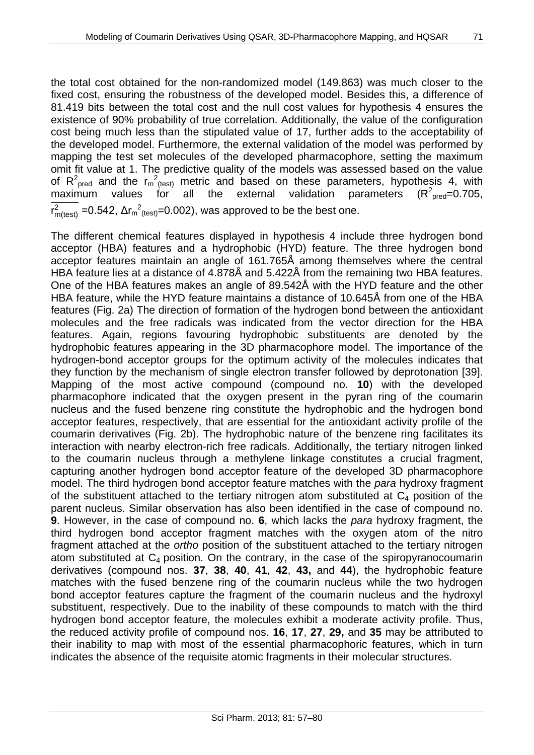the total cost obtained for the non-randomized model (149.863) was much closer to the fixed cost, ensuring the robustness of the developed model. Besides this, a difference of 81.419 bits between the total cost and the null cost values for hypothesis 4 ensures the existence of 90% probability of true correlation. Additionally, the value of the configuration cost being much less than the stipulated value of 17, further adds to the acceptability of the developed model. Furthermore, the external validation of the model was performed by mapping the test set molecules of the developed pharmacophore, setting the maximum omit fit value at 1. The predictive quality of the models was assessed based on the value of  $R^2_{\text{pred}}$  and the  $r_m^2$ <sub>(test)</sub> metric and based on these parameters, hypothesis 4, with  $maximum$  values for all the external validation parameters  $(R^{2}_{\text{pred}} = 0.705,$  $r_{m(\text{test})}^2$  =0.542,  $\Delta r_{m}^2$ <sub>(test)</sub>=0.002), was approved to be the best one.

The different chemical features displayed in hypothesis 4 include three hydrogen bond acceptor (HBA) features and a hydrophobic (HYD) feature. The three hydrogen bond acceptor features maintain an angle of 161.765Å among themselves where the central HBA feature lies at a distance of 4.878Å and 5.422Å from the remaining two HBA features. One of the HBA features makes an angle of 89.542Å with the HYD feature and the other HBA feature, while the HYD feature maintains a distance of 10.645Å from one of the HBA features (Fig. 2a) The direction of formation of the hydrogen bond between the antioxidant molecules and the free radicals was indicated from the vector direction for the HBA features. Again, regions favouring hydrophobic substituents are denoted by the hydrophobic features appearing in the 3D pharmacophore model. The importance of the hydrogen-bond acceptor groups for the optimum activity of the molecules indicates that they function by the mechanism of single electron transfer followed by deprotonation [39]. Mapping of the most active compound (compound no. **10**) with the developed pharmacophore indicated that the oxygen present in the pyran ring of the coumarin nucleus and the fused benzene ring constitute the hydrophobic and the hydrogen bond acceptor features, respectively, that are essential for the antioxidant activity profile of the coumarin derivatives (Fig. 2b). The hydrophobic nature of the benzene ring facilitates its interaction with nearby electron-rich free radicals. Additionally, the tertiary nitrogen linked to the coumarin nucleus through a methylene linkage constitutes a crucial fragment, capturing another hydrogen bond acceptor feature of the developed 3D pharmacophore model. The third hydrogen bond acceptor feature matches with the *para* hydroxy fragment of the substituent attached to the tertiary nitrogen atom substituted at  $C_4$  position of the parent nucleus. Similar observation has also been identified in the case of compound no. **9**. However, in the case of compound no. **6**, which lacks the *para* hydroxy fragment, the third hydrogen bond acceptor fragment matches with the oxygen atom of the nitro fragment attached at the *ortho* position of the substituent attached to the tertiary nitrogen atom substituted at  $C_4$  position. On the contrary, in the case of the spiropyranocoumarin derivatives (compound nos. **37**, **38**, **40**, **41**, **42**, **43,** and **44**), the hydrophobic feature matches with the fused benzene ring of the coumarin nucleus while the two hydrogen bond acceptor features capture the fragment of the coumarin nucleus and the hydroxyl substituent, respectively. Due to the inability of these compounds to match with the third hydrogen bond acceptor feature, the molecules exhibit a moderate activity profile. Thus, the reduced activity profile of compound nos. **16**, **17**, **27**, **29,** and **35** may be attributed to their inability to map with most of the essential pharmacophoric features, which in turn indicates the absence of the requisite atomic fragments in their molecular structures.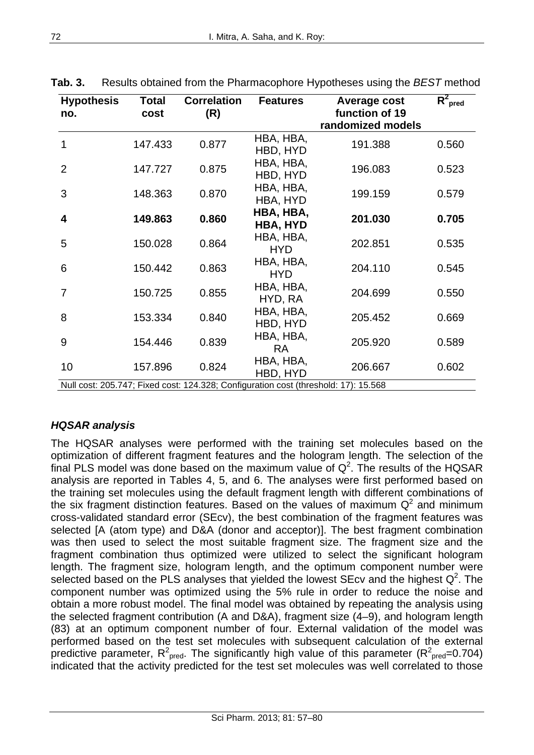| <b>Hypothesis</b><br>no.                                                            | Total<br>cost | <b>Correlation</b><br>(R) | <b>Features</b>         | Average cost<br>function of 19<br>randomized models | $R^2_{\text{pred}}$ |  |  |
|-------------------------------------------------------------------------------------|---------------|---------------------------|-------------------------|-----------------------------------------------------|---------------------|--|--|
| 1                                                                                   | 147.433       | 0.877                     | HBA, HBA,<br>HBD, HYD   | 191.388                                             | 0.560               |  |  |
| $\overline{2}$                                                                      | 147.727       | 0.875                     | HBA, HBA,<br>HBD, HYD   | 196.083                                             | 0.523               |  |  |
| 3                                                                                   | 148.363       | 0.870                     | HBA, HBA,<br>HBA, HYD   | 199.159                                             | 0.579               |  |  |
| 4                                                                                   | 149.863       | 0.860                     | HBA, HBA,<br>HBA, HYD   | 201.030                                             | 0.705               |  |  |
| 5                                                                                   | 150.028       | 0.864                     | HBA, HBA,<br><b>HYD</b> | 202.851                                             | 0.535               |  |  |
| 6                                                                                   | 150.442       | 0.863                     | HBA, HBA,<br><b>HYD</b> | 204.110                                             | 0.545               |  |  |
| $\overline{7}$                                                                      | 150.725       | 0.855                     | HBA, HBA,<br>HYD, RA    | 204.699                                             | 0.550               |  |  |
| 8                                                                                   | 153.334       | 0.840                     | HBA, HBA,<br>HBD, HYD   | 205.452                                             | 0.669               |  |  |
| 9                                                                                   | 154.446       | 0.839                     | HBA, HBA,<br><b>RA</b>  | 205.920                                             | 0.589               |  |  |
| 10                                                                                  | 157.896       | 0.824                     | HBA, HBA,<br>HBD, HYD   | 206.667                                             | 0.602               |  |  |
| Null cost: 205.747; Fixed cost: 124.328; Configuration cost (threshold: 17): 15.568 |               |                           |                         |                                                     |                     |  |  |

**Tab. 3.** Results obtained from the Pharmacophore Hypotheses using the *BEST* method

## *HQSAR analysis*

The HQSAR analyses were performed with the training set molecules based on the optimization of different fragment features and the hologram length. The selection of the final PLS model was done based on the maximum value of  $Q^2$ . The results of the HQSAR analysis are reported in Tables 4, 5, and 6. The analyses were first performed based on the training set molecules using the default fragment length with different combinations of the six fragment distinction features. Based on the values of maximum  $Q^2$  and minimum cross-validated standard error (SEcv), the best combination of the fragment features was selected [A (atom type) and D&A (donor and acceptor)]. The best fragment combination was then used to select the most suitable fragment size. The fragment size and the fragment combination thus optimized were utilized to select the significant hologram length. The fragment size, hologram length, and the optimum component number were selected based on the PLS analyses that yielded the lowest SEcv and the highest  $Q^2$ . The component number was optimized using the 5% rule in order to reduce the noise and obtain a more robust model. The final model was obtained by repeating the analysis using the selected fragment contribution (A and D&A), fragment size (4–9), and hologram length (83) at an optimum component number of four. External validation of the model was performed based on the test set molecules with subsequent calculation of the external predictive parameter, R<sup>2</sup><sub>pred</sub>. The significantly high value of this parameter (R<sup>2</sup><sub>pred</sub>=0.704) indicated that the activity predicted for the test set molecules was well correlated to those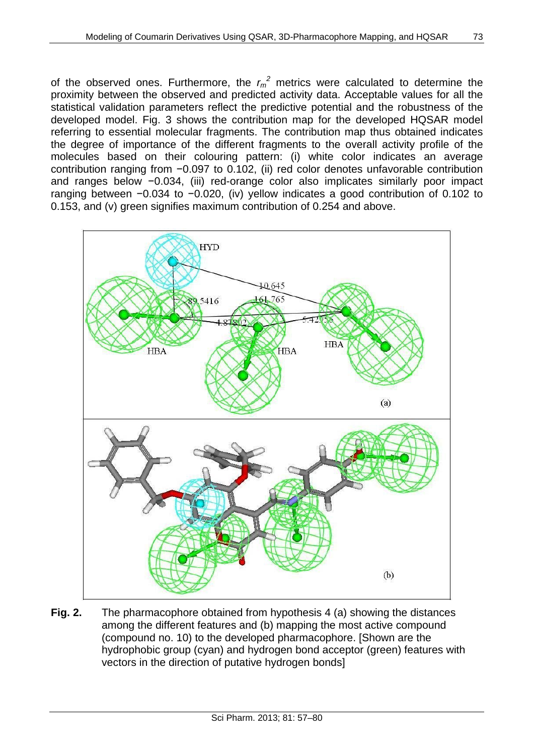of the observed ones. Furthermore, the  $r_m^2$  metrics were calculated to determine the proximity between the observed and predicted activity data. Acceptable values for all the statistical validation parameters reflect the predictive potential and the robustness of the developed model. Fig. 3 shows the contribution map for the developed HQSAR model referring to essential molecular fragments. The contribution map thus obtained indicates the degree of importance of the different fragments to the overall activity profile of the molecules based on their colouring pattern: (i) white color indicates an average contribution ranging from −0.097 to 0.102, (ii) red color denotes unfavorable contribution and ranges below −0.034, (iii) red-orange color also implicates similarly poor impact ranging between −0.034 to −0.020, (iv) yellow indicates a good contribution of 0.102 to 0.153, and (v) green signifies maximum contribution of 0.254 and above.



**Fig. 2.** The pharmacophore obtained from hypothesis 4 (a) showing the distances among the different features and (b) mapping the most active compound (compound no. 10) to the developed pharmacophore. [Shown are the hydrophobic group (cyan) and hydrogen bond acceptor (green) features with vectors in the direction of putative hydrogen bonds]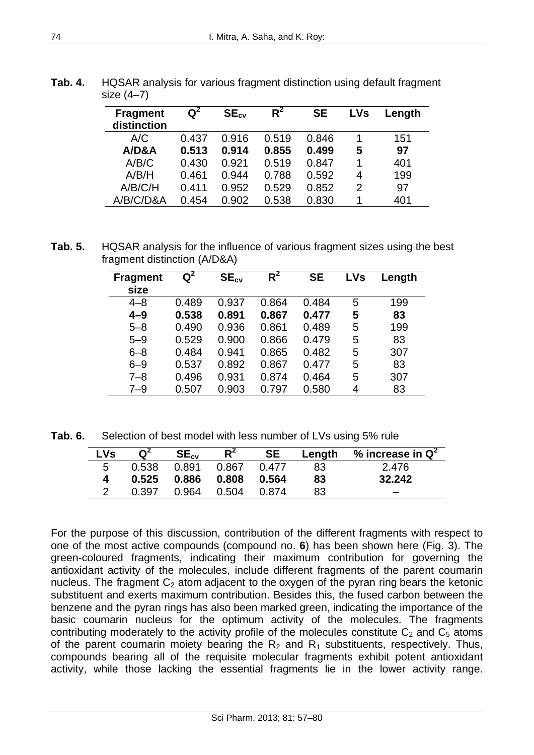| <b>Fragment</b><br>distinction | $\mathsf{Q}^2$ | $SE_{cv}$ | $R^2$ | <b>SE</b> | <b>LVs</b>    | Length |
|--------------------------------|----------------|-----------|-------|-----------|---------------|--------|
| A/C                            | 0.437          | 0.916     | 0.519 | 0.846     |               | 151    |
| A/DBA                          | 0.513          | 0.914     | 0.855 | 0.499     | 5             | 97     |
| A/B/C                          | 0.430          | 0.921     | 0.519 | 0.847     | 1             | 401    |
| A/B/H                          | 0.461          | 0.944     | 0.788 | 0.592     | 4             | 199    |
| A/B/C/H                        | 0.411          | 0.952     | 0.529 | 0.852     | $\mathcal{P}$ | 97     |
| A/B/C/D&A                      | 0.454          | 0.902     | 0.538 | 0.830     |               | 401    |

**Tab. 4.** HQSAR analysis for various fragment distinction using default fragment size (4–7)

**Tab. 5.** HQSAR analysis for the influence of various fragment sizes using the best fragment distinction (A/D&A)

| <b>Fragment</b><br>size | $\overline{\mathsf{Q}}^2$ | $SE_{cv}$ | $R^2$ | <b>SE</b> | <b>LVs</b> | Length |
|-------------------------|---------------------------|-----------|-------|-----------|------------|--------|
| $4 - 8$                 | 0.489                     | 0.937     | 0.864 | 0.484     | 5          | 199    |
| $4 - 9$                 | 0.538                     | 0.891     | 0.867 | 0.477     | 5          | 83     |
| $5 - 8$                 | 0.490                     | 0.936     | 0.861 | 0.489     | 5          | 199    |
| $5 - 9$                 | 0.529                     | 0.900     | 0.866 | 0.479     | 5          | 83     |
| $6 - 8$                 | 0.484                     | 0.941     | 0.865 | 0.482     | 5          | 307    |
| $6 - 9$                 | 0.537                     | 0.892     | 0.867 | 0.477     | 5          | 83     |
| $7 - 8$                 | 0.496                     | 0.931     | 0.874 | 0.464     | 5          | 307    |
| $7 - 9$                 | 0.507                     | 0.903     | 0.797 | 0.580     | 4          | 83     |

**Tab. 6.** Selection of best model with less number of LVs using 5% rule

| <b>LVs</b> | $\mathbf{Q}^2$ | $SE_{cv}$ | $R^2$ | <b>SE</b> | Length | % increase in $\mathsf{Q}^2$ |
|------------|----------------|-----------|-------|-----------|--------|------------------------------|
| b          | 0.538          | 0.891     | 0.867 | በ 477     | 83     | 2.476                        |
|            | 0.525          | 0.886     | 0.808 | 0.564     | 83     | 32.242                       |
|            | በ 397          | 0.964     | 0.504 | በ 874     | 83     |                              |

For the purpose of this discussion, contribution of the different fragments with respect to one of the most active compounds (compound no. **6**) has been shown here (Fig. 3). The green-coloured fragments, indicating their maximum contribution for governing the antioxidant activity of the molecules, include different fragments of the parent coumarin nucleus. The fragment  $C_2$  atom adjacent to the oxygen of the pyran ring bears the ketonic substituent and exerts maximum contribution. Besides this, the fused carbon between the benzene and the pyran rings has also been marked green, indicating the importance of the basic coumarin nucleus for the optimum activity of the molecules. The fragments contributing moderately to the activity profile of the molecules constitute  $C_2$  and  $C_5$  atoms of the parent coumarin moiety bearing the  $R_2$  and  $R_1$  substituents, respectively. Thus, compounds bearing all of the requisite molecular fragments exhibit potent antioxidant activity, while those lacking the essential fragments lie in the lower activity range.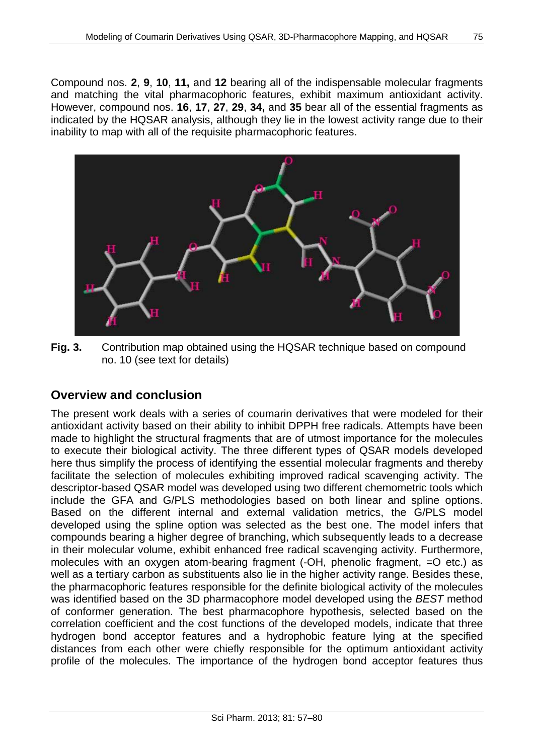Compound nos. **2**, **9**, **10**, **11,** and **12** bearing all of the indispensable molecular fragments and matching the vital pharmacophoric features, exhibit maximum antioxidant activity. However, compound nos. **16**, **17**, **27**, **29**, **34,** and **35** bear all of the essential fragments as indicated by the HQSAR analysis, although they lie in the lowest activity range due to their inability to map with all of the requisite pharmacophoric features.



**Fig. 3.** Contribution map obtained using the HQSAR technique based on compound no. 10 (see text for details)

## **Overview and conclusion**

The present work deals with a series of coumarin derivatives that were modeled for their antioxidant activity based on their ability to inhibit DPPH free radicals. Attempts have been made to highlight the structural fragments that are of utmost importance for the molecules to execute their biological activity. The three different types of QSAR models developed here thus simplify the process of identifying the essential molecular fragments and thereby facilitate the selection of molecules exhibiting improved radical scavenging activity. The descriptor-based QSAR model was developed using two different chemometric tools which include the GFA and G/PLS methodologies based on both linear and spline options. Based on the different internal and external validation metrics, the G/PLS model developed using the spline option was selected as the best one. The model infers that compounds bearing a higher degree of branching, which subsequently leads to a decrease in their molecular volume, exhibit enhanced free radical scavenging activity. Furthermore, molecules with an oxygen atom-bearing fragment (-OH, phenolic fragment, =O etc.) as well as a tertiary carbon as substituents also lie in the higher activity range. Besides these, the pharmacophoric features responsible for the definite biological activity of the molecules was identified based on the 3D pharmacophore model developed using the *BEST* method of conformer generation. The best pharmacophore hypothesis, selected based on the correlation coefficient and the cost functions of the developed models, indicate that three hydrogen bond acceptor features and a hydrophobic feature lying at the specified distances from each other were chiefly responsible for the optimum antioxidant activity profile of the molecules. The importance of the hydrogen bond acceptor features thus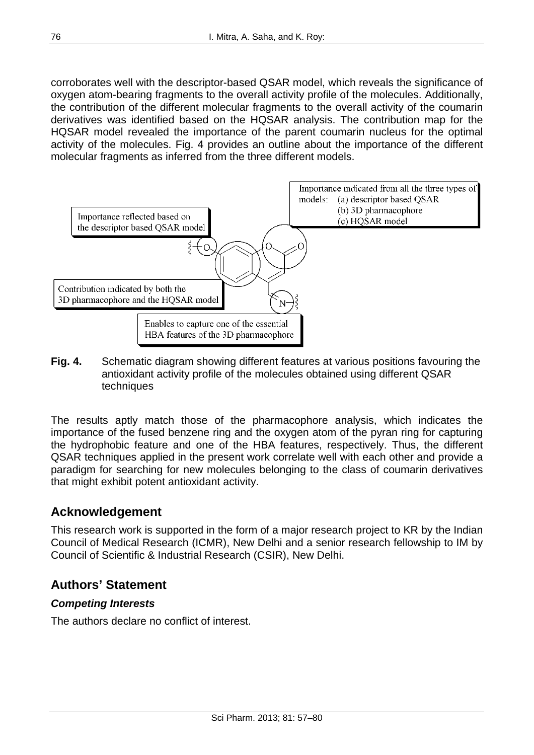corroborates well with the descriptor-based QSAR model, which reveals the significance of oxygen atom-bearing fragments to the overall activity profile of the molecules. Additionally, the contribution of the different molecular fragments to the overall activity of the coumarin derivatives was identified based on the HQSAR analysis. The contribution map for the HQSAR model revealed the importance of the parent coumarin nucleus for the optimal activity of the molecules. Fig. 4 provides an outline about the importance of the different molecular fragments as inferred from the three different models.



**Fig. 4.** Schematic diagram showing different features at various positions favouring the antioxidant activity profile of the molecules obtained using different QSAR techniques

The results aptly match those of the pharmacophore analysis, which indicates the importance of the fused benzene ring and the oxygen atom of the pyran ring for capturing the hydrophobic feature and one of the HBA features, respectively. Thus, the different QSAR techniques applied in the present work correlate well with each other and provide a paradigm for searching for new molecules belonging to the class of coumarin derivatives that might exhibit potent antioxidant activity.

# **Acknowledgement**

This research work is supported in the form of a major research project to KR by the Indian Council of Medical Research (ICMR), New Delhi and a senior research fellowship to IM by Council of Scientific & Industrial Research (CSIR), New Delhi.

# **Authors' Statement**

#### *Competing Interests*

The authors declare no conflict of interest.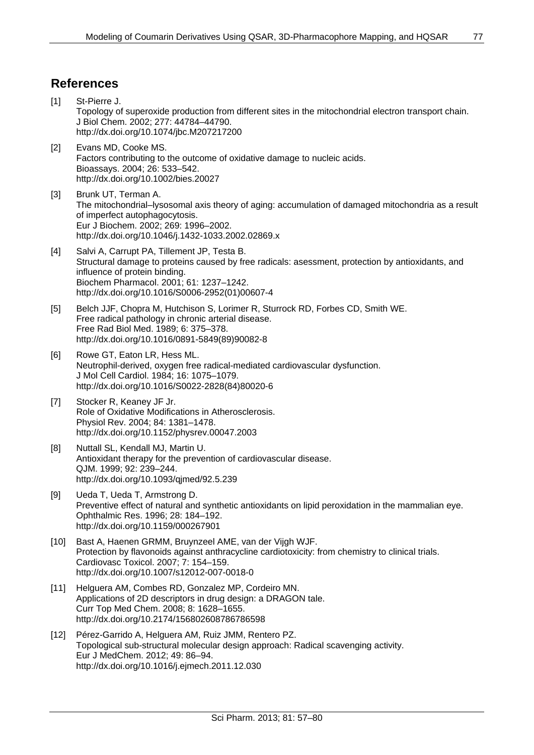### **References**

- [1] St-Pierre J. Topology of superoxide production from different sites in the mitochondrial electron transport chain. J Biol Chem. 2002; 277: 44784–44790. <http://dx.doi.org/10.1074/jbc.M207217200>
- [2] Evans MD, Cooke MS. Factors contributing to the outcome of oxidative damage to nucleic acids. Bioassays. 2004; 26: 533–542. <http://dx.doi.org/10.1002/bies.20027>
- [3] Brunk UT, Terman A. The mitochondrial–lysosomal axis theory of aging: accumulation of damaged mitochondria as a result of imperfect autophagocytosis. Eur J Biochem. 2002; 269: 1996–2002. <http://dx.doi.org/10.1046/j.1432-1033.2002.02869.x>
- [4] [Salvi](http://www.sciencedirect.com/science?_ob=RedirectURL&_method=outwardLink&_partnerName=27983&_origin=article&_zone=art_page&_linkType=scopusAuthorDocuments&_targetURL=http%3A%2F%2Fwww.scopus.com%2Fscopus%2Finward%2Fauthor.url%3FpartnerID%3D10%26rel%3D3.0.0%26sortField%3Dcited%26sortOrder%3Dasc%26author%3DSalvi,%2520Aline%26authorID%3D7005764532%26md5%3D1aa85e1d3e39bbbe124722de082cded6&_acct=C000056711&_version=1&_userid=2244719&md5=74e281ac2f88bf6f81097c375c14e15b) A, [Carrupt](http://www.sciencedirect.com/science?_ob=RedirectURL&_method=outwardLink&_partnerName=27983&_origin=article&_zone=art_page&_linkType=scopusAuthorDocuments&_targetURL=http%3A%2F%2Fwww.scopus.com%2Fscopus%2Finward%2Fauthor.url%3FpartnerID%3D10%26rel%3D3.0.0%26sortField%3Dcited%26sortOrder%3Dasc%26author%3DCarrupt,%2520Pierre-Alain%26authorID%3D7006434240%26md5%3Da229916f44e576b4e87c289989a15df6&_acct=C000056711&_version=1&_userid=2244719&md5=e0979bfe32cf54029ab6ba01d570568b) PA, [Tillement](http://www.sciencedirect.com/science?_ob=RedirectURL&_method=outwardLink&_partnerName=27983&_origin=article&_zone=art_page&_linkType=scopusAuthorDocuments&_targetURL=http%3A%2F%2Fwww.scopus.com%2Fscopus%2Finward%2Fauthor.url%3FpartnerID%3D10%26rel%3D3.0.0%26sortField%3Dcited%26sortOrder%3Dasc%26author%3DTillement,%2520Jean-Paul%26authorID%3D35492489900%26md5%3D02ac4073fa46343df041004d2b6381a1&_acct=C000056711&_version=1&_userid=2244719&md5=36e770326d88473bf68834d378a137b4) JP, [Testa](http://www.sciencedirect.com/science?_ob=RedirectURL&_method=outwardLink&_partnerName=27983&_origin=article&_zone=art_page&_linkType=scopusAuthorDocuments&_targetURL=http%3A%2F%2Fwww.scopus.com%2Fscopus%2Finward%2Fauthor.url%3FpartnerID%3D10%26rel%3D3.0.0%26sortField%3Dcited%26sortOrder%3Dasc%26author%3DTesta,%2520Bernard%26authorID%3D7102933252%26md5%3D0440213311c34d8350b24f9c3fded729&_acct=C000056711&_version=1&_userid=2244719&md5=c6d876a9b4cf609844f2e82e11e09802) B. Structural damage to proteins caused by free radicals: asessment, protection by antioxidants, and influence of protein binding. Biochem Pharmacol. 2001; 61: 1237–1242. [http://dx.doi.org/10.1016/S0006-2952\(01\)00607-4](http://dx.doi.org/10.1016/S0006-2952(01)00607-4)
- [5] Belch JJF, Chopra M, Hutchison S, Lorimer R, Sturrock RD, Forbes CD, Smith WE. Free radical pathology in chronic arterial disease. Free Rad Biol Med. 1989; 6: 375–378. [http://dx.doi.org/10.1016/0891-5849\(89\)90082-8](http://dx.doi.org/10.1016/0891-5849(89)90082-8)
- [6] Rowe GT, Eaton LR, Hess ML. Neutrophil-derived, oxygen free radical-mediated cardiovascular dysfunction. J Mol Cell Cardiol. 1984; 16: 1075–1079. [http://dx.doi.org/10.1016/S0022-2828\(84\)80020-6](http://dx.doi.org/10.1016/S0022-2828(84)80020-6)
- [7] Stocker R, Keaney JF Jr. Role of Oxidative Modifications in Atherosclerosis. Physiol Rev. 2004; 84: 1381–1478. <http://dx.doi.org/10.1152/physrev.00047.2003>
- [8] Nuttall SL, Kendall MJ, Martin U. Antioxidant therapy for the prevention of cardiovascular disease. QJM. 1999; 92: 239–244. <http://dx.doi.org/10.1093/qjmed/92.5.239>
- [9] Ueda T, Ueda T, Armstrong D. Preventive effect of natural and synthetic antioxidants on lipid peroxidation in the mammalian eye. Ophthalmic Res. 1996; 28: 184–192. <http://dx.doi.org/10.1159/000267901>
- [10] Bast A, Haenen GRMM, Bruynzeel AME, van der Vijgh WJF. Protection by flavonoids against anthracycline cardiotoxicity: from chemistry to clinical trials. Cardiovasc Toxicol. 2007; 7: 154–159. <http://dx.doi.org/10.1007/s12012-007-0018-0>
- [11] Helguera AM, Combes RD, Gonzalez MP, Cordeiro MN. Applications of 2D descriptors in drug design: a DRAGON tale. Curr Top Med Chem. 2008; 8: 1628–1655. <http://dx.doi.org/10.2174/156802608786786598>
- [12] Pérez-Garrido A, Helguera AM, Ruiz JMM, Rentero PZ. Topological sub-structural molecular design approach: Radical scavenging activity. Eur J MedChem. 2012; 49: 86–94. <http://dx.doi.org/10.1016/j.ejmech.2011.12.030>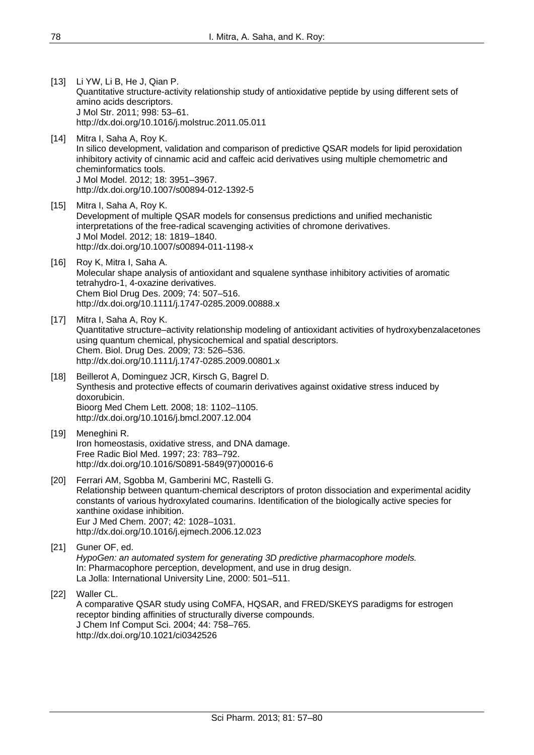- [13] Li YW, Li B, He J, Qian P. Quantitative structure-activity relationship study of antioxidative peptide by using different sets of amino acids descriptors. J Mol Str. 2011; 998: 53–61. <http://dx.doi.org/10.1016/j.molstruc.2011.05.011>
- [14] Mitra I, Saha A, Roy K. In silico development, validation and comparison of predictive QSAR models for lipid peroxidation inhibitory activity of cinnamic acid and caffeic acid derivatives using multiple chemometric and cheminformatics tools. J Mol Model. 2012; 18: 3951–3967. <http://dx.doi.org/10.1007/s00894-012-1392-5>
- [15] Mitra I, Saha A, Roy K. Development of multiple QSAR models for consensus predictions and unified mechanistic interpretations of the free-radical scavenging activities of chromone derivatives. J Mol Model. 2012; 18: 1819–1840. <http://dx.doi.org/10.1007/s00894-011-1198-x>
- [16] Roy K, Mitra I, Saha A, Molecular shape analysis of antioxidant and squalene synthase inhibitory activities of aromatic tetrahydro-1, 4-oxazine derivatives. Chem Biol Drug Des. 2009; 74: 507–516. <http://dx.doi.org/10.1111/j.1747-0285.2009.00888.x>
- [17] Mitra I, Saha A, Roy K. Quantitative structure–activity relationship modeling of antioxidant activities of hydroxybenzalacetones using quantum chemical, physicochemical and spatial descriptors. Chem. Biol. Drug Des. 2009; 73: 526–536. <http://dx.doi.org/10.1111/j.1747-0285.2009.00801.x>
- [18] Beillerot A, Dominguez JCR, Kirsch G, Bagrel D. Synthesis and protective effects of coumarin derivatives against oxidative stress induced by doxorubicin. Bioorg Med Chem Lett. 2008; 18: 1102–1105. <http://dx.doi.org/10.1016/j.bmcl.2007.12.004>
- [19] Meneghini R. Iron homeostasis, oxidative stress, and DNA damage. Free Radic Biol Med. 1997; 23: 783–792. [http://dx.doi.org/10.1016/S0891-5849\(97\)00016-6](http://dx.doi.org/10.1016/S0891-5849(97)00016-6)
- [20] Ferrari AM, Sgobba M, Gamberini MC, Rastelli G. Relationship between quantum-chemical descriptors of proton dissociation and experimental acidity constants of various hydroxylated coumarins. Identification of the biologically active species for xanthine oxidase inhibition. Eur J Med Chem. 2007; 42: 1028–1031. <http://dx.doi.org/10.1016/j.ejmech.2006.12.023>
- [21] Guner OF, ed. *HypoGen: an automated system for generating 3D predictive pharmacophore models.* In: Pharmacophore perception, development, and use in drug design. La Jolla: International University Line, 2000: 501–511.
- [22] Waller CL. A comparative QSAR study using CoMFA, HQSAR, and FRED/SKEYS paradigms for estrogen receptor binding affinities of structurally diverse compounds. J Chem Inf Comput Sci. 2004; 44: 758–765. <http://dx.doi.org/10.1021/ci0342526>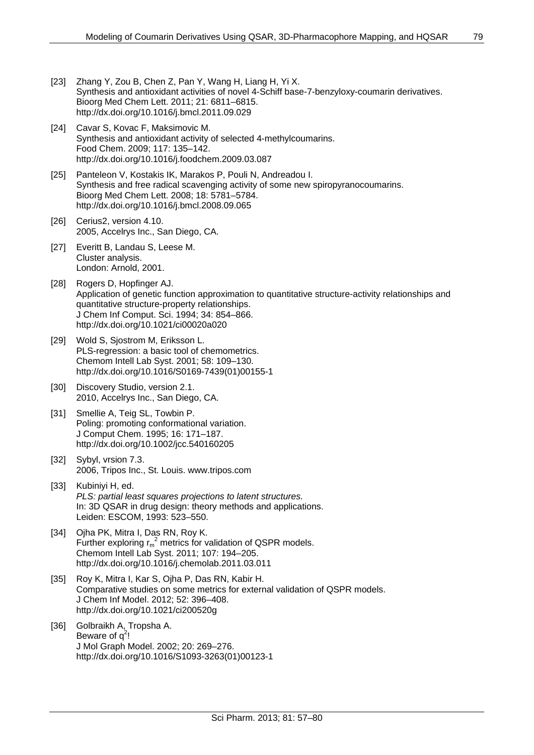- [23] Zhang Y, Zou B, Chen Z, Pan Y, Wang H, Liang H, Yi X. Synthesis and antioxidant activities of novel 4-Schiff base-7-benzyloxy-coumarin derivatives. Bioorg Med Chem Lett. 2011; 21: 6811–6815. <http://dx.doi.org/10.1016/j.bmcl.2011.09.029>
- [24] Cavar S, Kovac F, Maksimovic M. Synthesis and antioxidant activity of selected 4-methylcoumarins. Food Chem. 2009; 117: 135–142. <http://dx.doi.org/10.1016/j.foodchem.2009.03.087>
- [25] Panteleon V, Kostakis IK, Marakos P, Pouli N, Andreadou I. Synthesis and free radical scavenging activity of some new spiropyranocoumarins. Bioorg Med Chem Lett. 2008; 18: 5781–5784. <http://dx.doi.org/10.1016/j.bmcl.2008.09.065>
- [26] Cerius2, version 4.10. 2005, Accelrys Inc., San Diego, CA.
- [27] Everitt B, Landau S, Leese M. Cluster analysis. London: Arnold, 2001.
- [28] Rogers D, Hopfinger AJ. Application of genetic function approximation to quantitative structure-activity relationships and quantitative structure-property relationships. J Chem Inf Comput. Sci. 1994; 34: 854–866. <http://dx.doi.org/10.1021/ci00020a020>
- [29] Wold S, Sjostrom M, Eriksson L. PLS-regression: a basic tool of chemometrics. Chemom Intell Lab Syst. 2001; 58: 109–130. [http://dx.doi.org/10.1016/S0169-7439\(01\)00155-1](http://dx.doi.org/10.1016/S0169-7439(01)00155-1)
- [30] Discovery Studio, version 2.1. 2010, Accelrys Inc., San Diego, CA.
- [31] Smellie A, Teig SL, Towbin P. Poling: promoting conformational variation. J Comput Chem. 1995; 16: 171–187. <http://dx.doi.org/10.1002/jcc.540160205>
- [32] Sybyl, vrsion 7.3. 2006, Tripos Inc., St. Louis. [www.tripos.com](http://www.tripos.com/)
- [33] Kubiniyi H, ed. *PLS: partial least squares projections to latent structures.* In: 3D QSAR in drug design: theory methods and applications. Leiden: ESCOM, 1993: 523–550.
- [34] Ojha PK, Mitra I, Das RN, Roy K. Further exploring  $r_m^2$  metrics for validation of QSPR models. Chemom Intell Lab Syst. 2011; 107: 194–205. <http://dx.doi.org/10.1016/j.chemolab.2011.03.011>
- [35] Roy K, Mitra I, Kar S, Ojha P, Das RN, Kabir H. Comparative studies on some metrics for external validation of QSPR models. J Chem Inf Model. 2012; 52: 396–408. <http://dx.doi.org/10.1021/ci200520g>
- [36] Golbraikh A, Tropsha A. Beware of  $q^2$ ! J Mol Graph Model. 2002; 20: 269–276. [http://dx.doi.org/10.1016/S1093-3263\(01\)00123-1](http://dx.doi.org/10.1016/S1093-3263(01)00123-1)